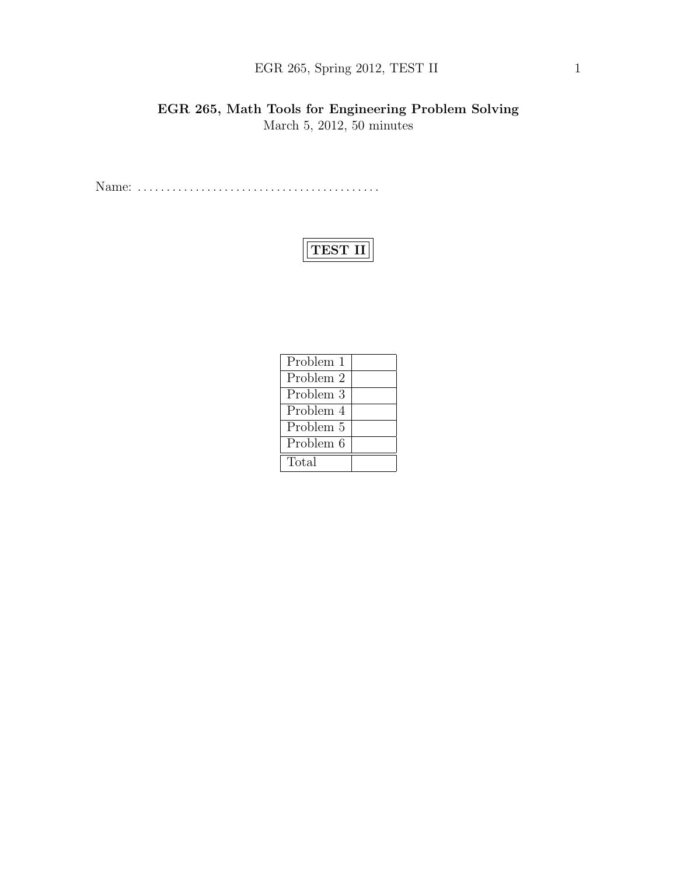## EGR 265, Spring 2012, TEST II 1

### EGR 265, Math Tools for Engineering Problem Solving March 5, 2012, 50 minutes

Name: . . . . . . . . . . . . . . . . . . . . . . . . . . . . . . . . . . . . . . . . . .

# TEST II

| Problem 1 |  |
|-----------|--|
| Problem 2 |  |
| Problem 3 |  |
| Problem 4 |  |
| Problem 5 |  |
| Problem 6 |  |
| Total     |  |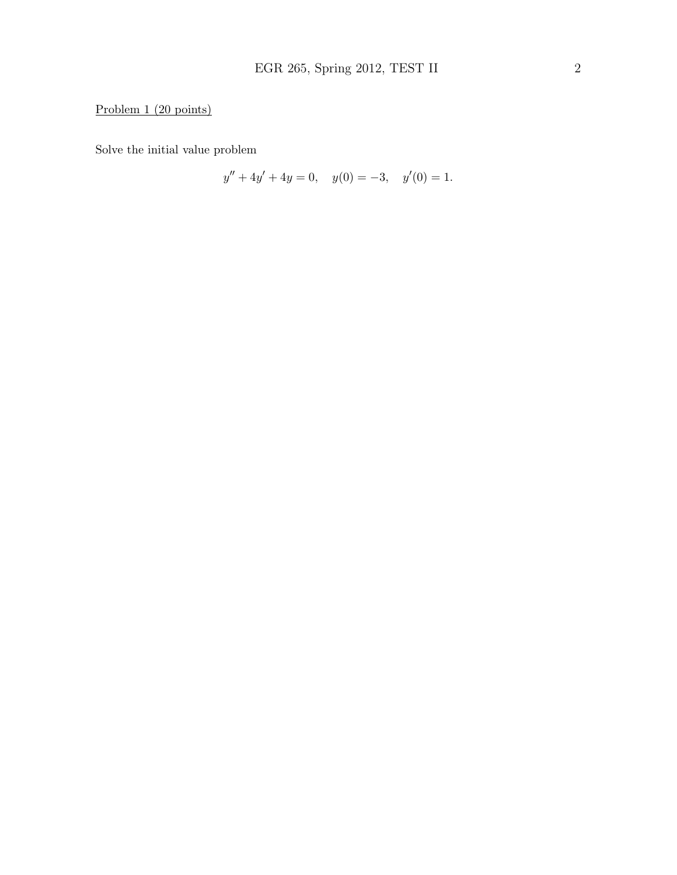### Problem 1 (20 points)

Solve the initial value problem

$$
y'' + 4y' + 4y = 0, \quad y(0) = -3, \quad y'(0) = 1.
$$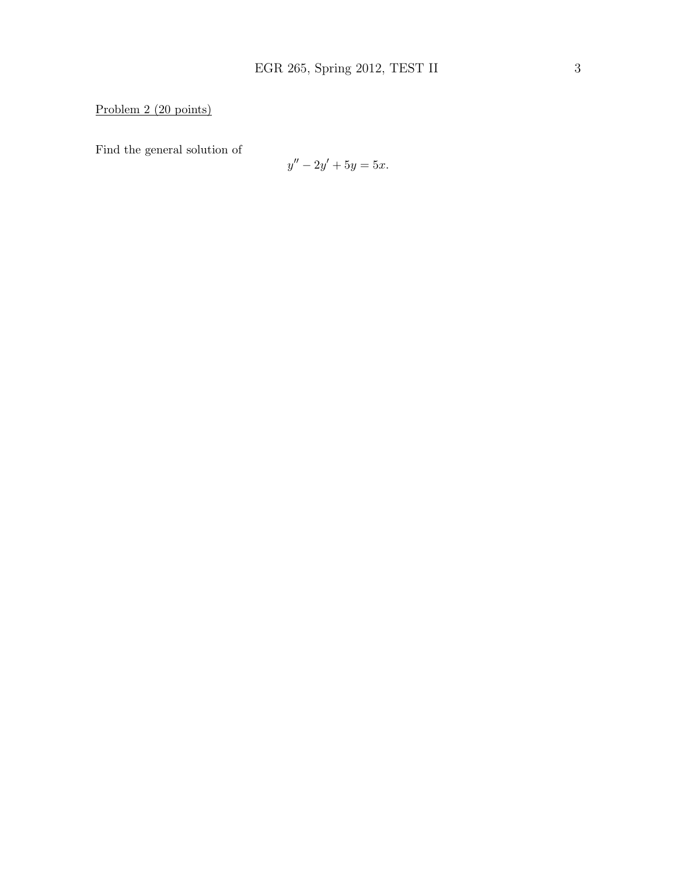### Problem 2 (20 points)

Find the general solution of

$$
y'' - 2y' + 5y = 5x.
$$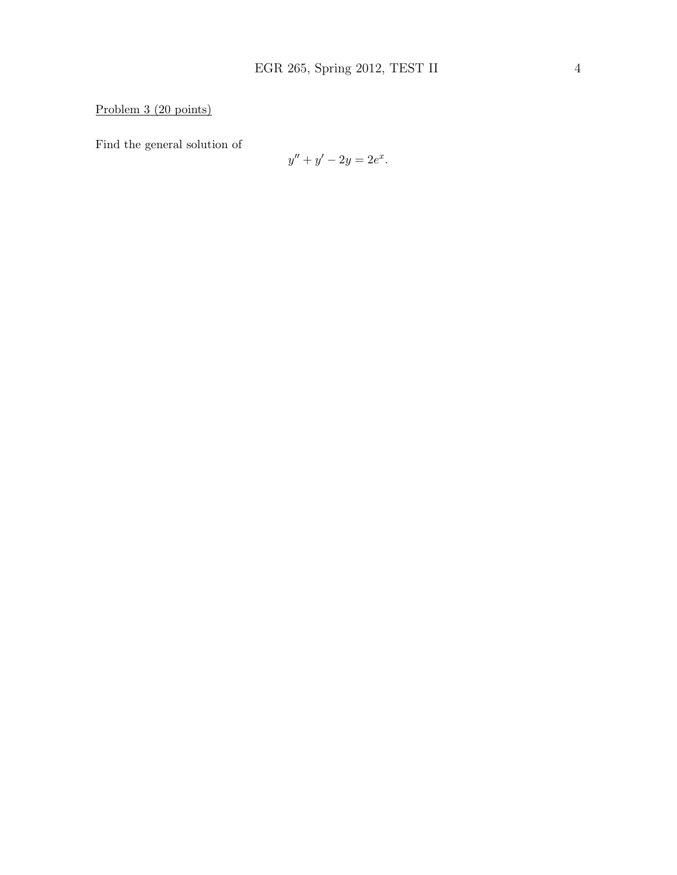Problem 3 (20 points)

Find the general solution of

$$
y'' + y' - 2y = 2e^x.
$$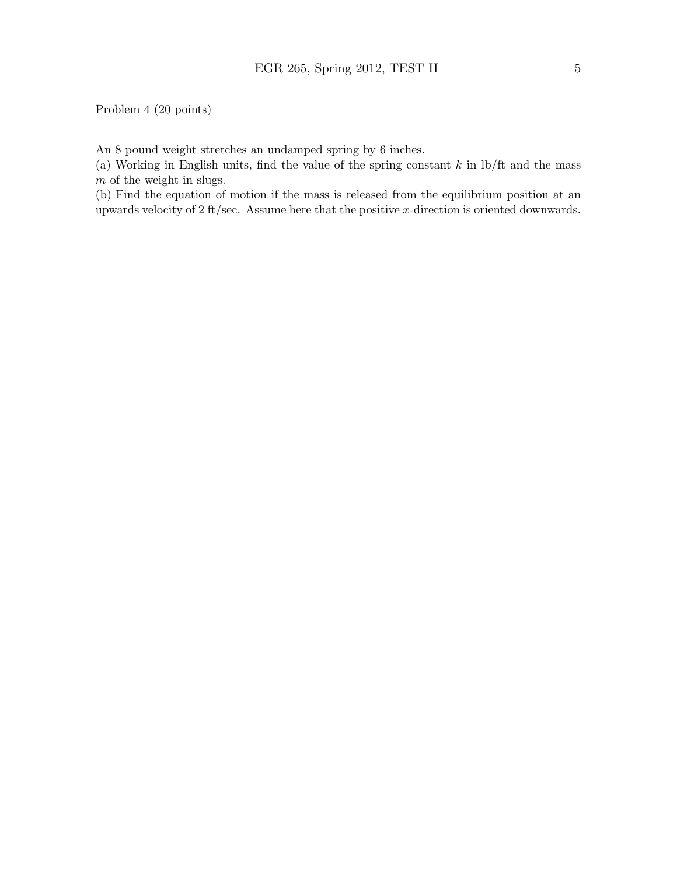#### Problem 4 (20 points)

An 8 pound weight stretches an undamped spring by 6 inches.

(a) Working in English units, find the value of the spring constant  $k$  in  $\frac{1}{k}$  and the mass m of the weight in slugs.

(b) Find the equation of motion if the mass is released from the equilibrium position at an upwards velocity of 2 ft/sec. Assume here that the positive x-direction is oriented downwards.